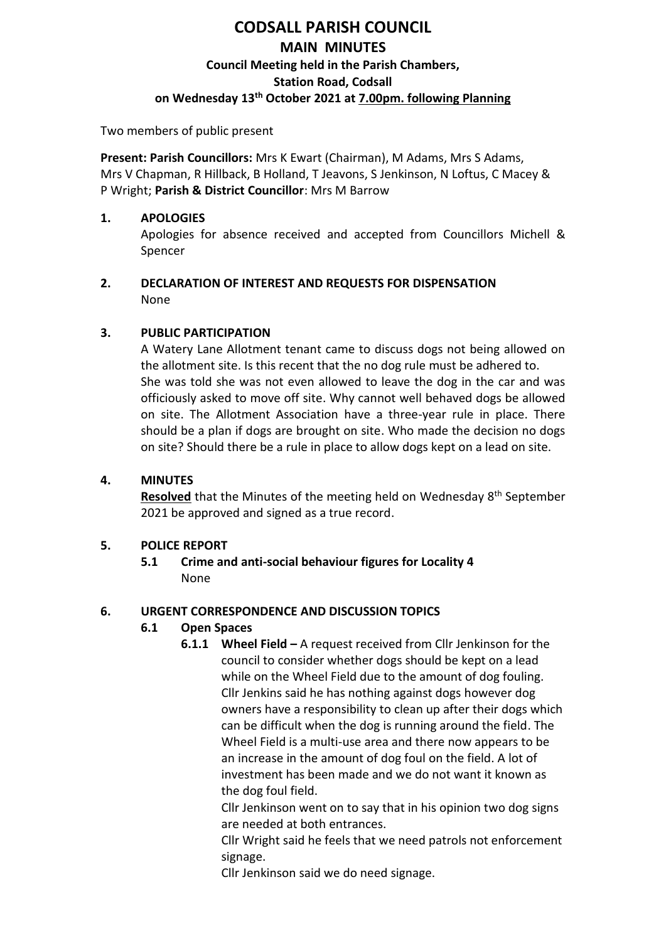# **CODSALL PARISH COUNCIL MAIN MINUTES Council Meeting held in the Parish Chambers, Station Road, Codsall on Wednesday 13th October 2021 at 7.00pm. following Planning**

Two members of public present

**Present: Parish Councillors:** Mrs K Ewart (Chairman), M Adams, Mrs S Adams, Mrs V Chapman, R Hillback, B Holland, T Jeavons, S Jenkinson, N Loftus, C Macey & P Wright; **Parish & District Councillor**: Mrs M Barrow

### **1. APOLOGIES**

Apologies for absence received and accepted from Councillors Michell & Spencer

### **2. DECLARATION OF INTEREST AND REQUESTS FOR DISPENSATION** None

# **3. PUBLIC PARTICIPATION**

A Watery Lane Allotment tenant came to discuss dogs not being allowed on the allotment site. Is this recent that the no dog rule must be adhered to. She was told she was not even allowed to leave the dog in the car and was officiously asked to move off site. Why cannot well behaved dogs be allowed on site. The Allotment Association have a three-year rule in place. There should be a plan if dogs are brought on site. Who made the decision no dogs on site? Should there be a rule in place to allow dogs kept on a lead on site.

# **4. MINUTES**

**Resolved** that the Minutes of the meeting held on Wednesday 8<sup>th</sup> September 2021 be approved and signed as a true record.

# **5. POLICE REPORT**

**5.1 Crime and anti-social behaviour figures for Locality 4** None

# **6. URGENT CORRESPONDENCE AND DISCUSSION TOPICS**

# **6.1 Open Spaces**

**6.1.1 Wheel Field –** A request received from Cllr Jenkinson for the council to consider whether dogs should be kept on a lead while on the Wheel Field due to the amount of dog fouling. Cllr Jenkins said he has nothing against dogs however dog owners have a responsibility to clean up after their dogs which can be difficult when the dog is running around the field. The Wheel Field is a multi-use area and there now appears to be an increase in the amount of dog foul on the field. A lot of investment has been made and we do not want it known as the dog foul field.

Cllr Jenkinson went on to say that in his opinion two dog signs are needed at both entrances.

Cllr Wright said he feels that we need patrols not enforcement signage.

Cllr Jenkinson said we do need signage.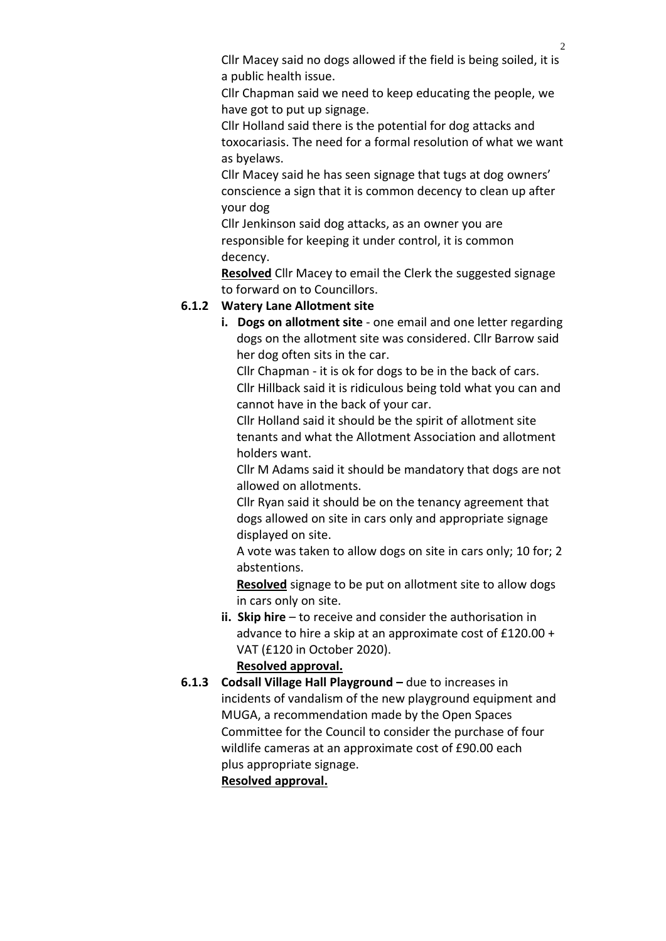Cllr Macey said no dogs allowed if the field is being soiled, it is a public health issue.

Cllr Chapman said we need to keep educating the people, we have got to put up signage.

Cllr Holland said there is the potential for dog attacks and toxocariasis. The need for a formal resolution of what we want as byelaws.

Cllr Macey said he has seen signage that tugs at dog owners' conscience a sign that it is common decency to clean up after your dog

Cllr Jenkinson said dog attacks, as an owner you are responsible for keeping it under control, it is common decency.

**Resolved** Cllr Macey to email the Clerk the suggested signage to forward on to Councillors.

# **6.1.2 Watery Lane Allotment site**

**i. Dogs on allotment site** - one email and one letter regarding dogs on the allotment site was considered. Cllr Barrow said her dog often sits in the car.

 Cllr Chapman - it is ok for dogs to be in the back of cars. Cllr Hillback said it is ridiculous being told what you can and cannot have in the back of your car.

 Cllr Holland said it should be the spirit of allotment site tenants and what the Allotment Association and allotment holders want.

 Cllr M Adams said it should be mandatory that dogs are not allowed on allotments.

 Cllr Ryan said it should be on the tenancy agreement that dogs allowed on site in cars only and appropriate signage displayed on site.

 A vote was taken to allow dogs on site in cars only; 10 for; 2 abstentions.

 **Resolved** signage to be put on allotment site to allow dogs in cars only on site.

**ii. Skip hire** – to receive and consider the authorisation in advance to hire a skip at an approximate cost of £120.00 + VAT (£120 in October 2020).

# **Resolved approval.**

**6.1.3 Codsall Village Hall Playground –** due to increases in incidents of vandalism of the new playground equipment and MUGA, a recommendation made by the Open Spaces Committee for the Council to consider the purchase of four wildlife cameras at an approximate cost of £90.00 each plus appropriate signage.

# **Resolved approval.**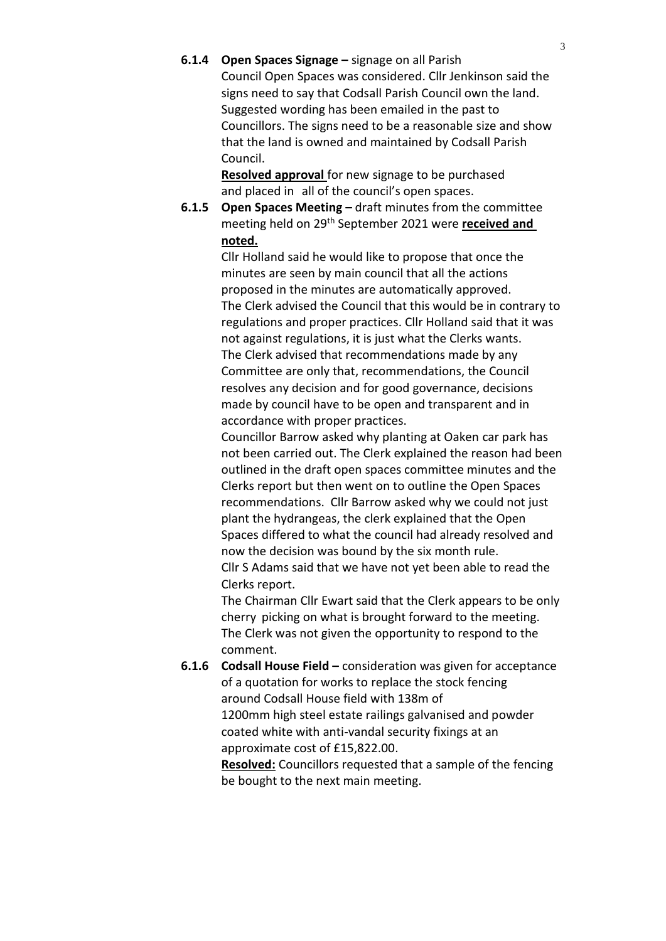**6.1.4 Open Spaces Signage –** signage on all Parish Council Open Spaces was considered. Cllr Jenkinson said the signs need to say that Codsall Parish Council own the land. Suggested wording has been emailed in the past to Councillors. The signs need to be a reasonable size and show that the land is owned and maintained by Codsall Parish Council.

> **Resolved approval** for new signage to be purchased and placed in all of the council's open spaces.

**6.1.5 Open Spaces Meeting –** draft minutes from the committee meeting held on 29th September 2021 were **received and noted.**

> Cllr Holland said he would like to propose that once the minutes are seen by main council that all the actions proposed in the minutes are automatically approved. The Clerk advised the Council that this would be in contrary to regulations and proper practices. Cllr Holland said that it was not against regulations, it is just what the Clerks wants. The Clerk advised that recommendations made by any Committee are only that, recommendations, the Council resolves any decision and for good governance, decisions made by council have to be open and transparent and in accordance with proper practices.

> Councillor Barrow asked why planting at Oaken car park has not been carried out. The Clerk explained the reason had been outlined in the draft open spaces committee minutes and the Clerks report but then went on to outline the Open Spaces recommendations. Cllr Barrow asked why we could not just plant the hydrangeas, the clerk explained that the Open Spaces differed to what the council had already resolved and now the decision was bound by the six month rule. Cllr S Adams said that we have not yet been able to read the

> The Chairman Cllr Ewart said that the Clerk appears to be only cherry picking on what is brought forward to the meeting. The Clerk was not given the opportunity to respond to the comment.

**6.1.6 Codsall House Field –** consideration was given for acceptance of a quotation for works to replace the stock fencing around Codsall House field with 138m of 1200mm high steel estate railings galvanised and powder coated white with anti-vandal security fixings at an approximate cost of £15,822.00.

Clerks report.

**Resolved:** Councillors requested that a sample of the fencing be bought to the next main meeting.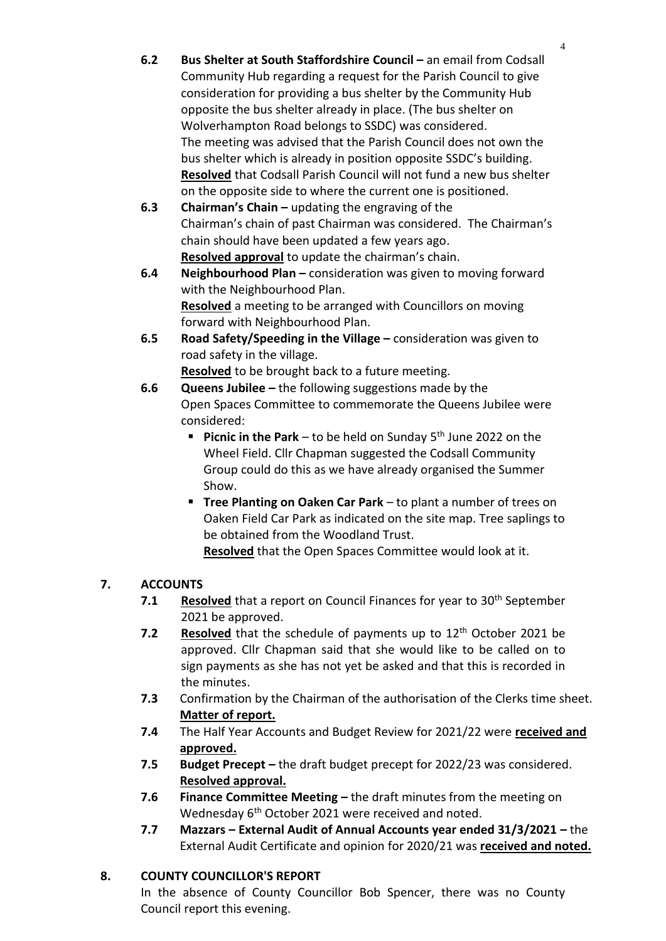- **6.2 Bus Shelter at South Staffordshire Council –** an email from Codsall Community Hub regarding a request for the Parish Council to give consideration for providing a bus shelter by the Community Hub opposite the bus shelter already in place. (The bus shelter on Wolverhampton Road belongs to SSDC) was considered. The meeting was advised that the Parish Council does not own the bus shelter which is already in position opposite SSDC's building. **Resolved** that Codsall Parish Council will not fund a new bus shelter on the opposite side to where the current one is positioned.
- **6.3 Chairman's Chain –** updating the engraving of the Chairman's chain of past Chairman was considered. The Chairman's chain should have been updated a few years ago. **Resolved approval** to update the chairman's chain.
- **6.4 Neighbourhood Plan –** consideration was given to moving forward with the Neighbourhood Plan. **Resolved** a meeting to be arranged with Councillors on moving forward with Neighbourhood Plan.
- **6.5 Road Safety/Speeding in the Village –** consideration was given to road safety in the village.

**Resolved** to be brought back to a future meeting.

- **6.6 Queens Jubilee –** the following suggestions made by the Open Spaces Committee to commemorate the Queens Jubilee were considered:
	- **Picnic in the Park** to be held on Sunday 5<sup>th</sup> June 2022 on the Wheel Field. Cllr Chapman suggested the Codsall Community Group could do this as we have already organised the Summer Show.
	- **E** Tree Planting on Oaken Car Park to plant a number of trees on Oaken Field Car Park as indicated on the site map. Tree saplings to be obtained from the Woodland Trust.

**Resolved** that the Open Spaces Committee would look at it.

# **7. ACCOUNTS**

- **7.1 Resolved** that a report on Council Finances for year to 30<sup>th</sup> September 2021 be approved.
- **7.2 Resolved** that the schedule of payments up to 12<sup>th</sup> October 2021 be approved. Cllr Chapman said that she would like to be called on to sign payments as she has not yet be asked and that this is recorded in the minutes.
- **7.3** Confirmation by the Chairman of the authorisation of the Clerks time sheet. **Matter of report.**
- **7.4** The Half Year Accounts and Budget Review for 2021/22 were **received and approved.**
- **7.5 Budget Precept –** the draft budget precept for 2022/23 was considered. **Resolved approval.**
- **7.6 Finance Committee Meeting –** the draft minutes from the meeting on Wednesday 6<sup>th</sup> October 2021 were received and noted.
- **7.7 Mazzars – External Audit of Annual Accounts year ended 31/3/2021 –** the External Audit Certificate and opinion for 2020/21 was **received and noted.**

# **8. COUNTY COUNCILLOR'S REPORT**

In the absence of County Councillor Bob Spencer, there was no County Council report this evening.